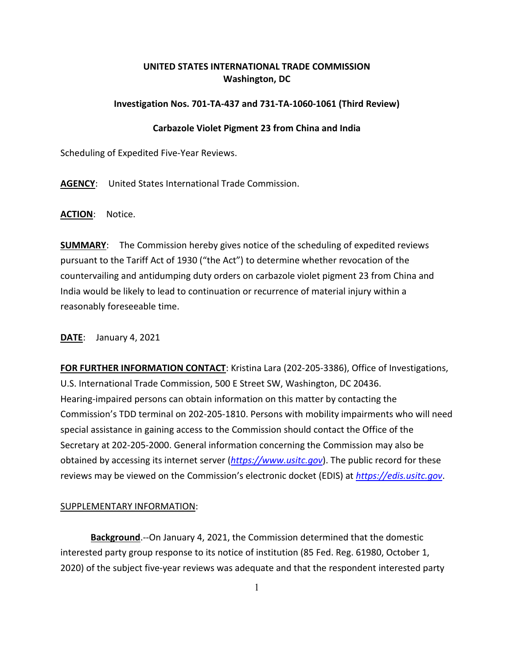## **UNITED STATES INTERNATIONAL TRADE COMMISSION Washington, DC**

## **Investigation Nos. 701-TA-437 and 731-TA-1060-1061 (Third Review)**

## **Carbazole Violet Pigment 23 from China and India**

Scheduling of Expedited Five-Year Reviews.

**AGENCY**: United States International Trade Commission.

**ACTION**: Notice.

**SUMMARY**: The Commission hereby gives notice of the scheduling of expedited reviews pursuant to the Tariff Act of 1930 ("the Act") to determine whether revocation of the countervailing and antidumping duty orders on carbazole violet pigment 23 from China and India would be likely to lead to continuation or recurrence of material injury within a reasonably foreseeable time.

**DATE**: January 4, 2021

**FOR FURTHER INFORMATION CONTACT**: Kristina Lara (202-205-3386), Office of Investigations, U.S. International Trade Commission, 500 E Street SW, Washington, DC 20436. Hearing-impaired persons can obtain information on this matter by contacting the Commission's TDD terminal on 202-205-1810. Persons with mobility impairments who will need special assistance in gaining access to the Commission should contact the Office of the Secretary at 202-205-2000. General information concerning the Commission may also be obtained by accessing its internet server (*[https://www.usitc.gov](https://www.usitc.gov/)*). The public record for these reviews may be viewed on the Commission's electronic docket (EDIS) at *[https://edis.usitc.gov](https://edis.usitc.gov/)*.

## SUPPLEMENTARY INFORMATION:

**Background**.--On January 4, 2021, the Commission determined that the domestic interested party group response to its notice of institution (85 Fed. Reg. 61980, October 1, 2020) of the subject five-year reviews was adequate and that the respondent interested party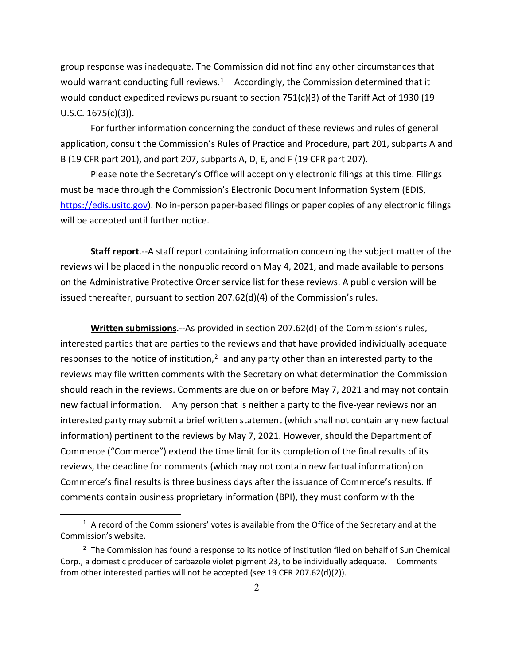group response was inadequate. The Commission did not find any other circumstances that would warrant conducting full reviews.<sup>1</sup> Accordingly, the Commission determined that it would conduct expedited reviews pursuant to section 751(c)(3) of the Tariff Act of 1930 (19 U.S.C. 1675(c)(3)).

For further information concerning the conduct of these reviews and rules of general application, consult the Commission's Rules of Practice and Procedure, part 201, subparts A and B (19 CFR part 201), and part 207, subparts A, D, E, and F (19 CFR part 207).

Please note the Secretary's Office will accept only electronic filings at this time. Filings must be made through the Commission's Electronic Document Information System (EDIS, [https://edis.usitc.gov\)](https://edis.usitc.gov/). No in-person paper-based filings or paper copies of any electronic filings will be accepted until further notice.

**Staff report**.--A staff report containing information concerning the subject matter of the reviews will be placed in the nonpublic record on May 4, 2021, and made available to persons on the Administrative Protective Order service list for these reviews. A public version will be issued thereafter, pursuant to section 207.62(d)(4) of the Commission's rules.

**Written submissions**.--As provided in section 207.62(d) of the Commission's rules, interested parties that are parties to the reviews and that have provided individually adequate responses to the notice of institution, $<sup>2</sup>$  $<sup>2</sup>$  $<sup>2</sup>$  and any party other than an interested party to the</sup> reviews may file written comments with the Secretary on what determination the Commission should reach in the reviews. Comments are due on or before May 7, 2021 and may not contain new factual information. Any person that is neither a party to the five-year reviews nor an interested party may submit a brief written statement (which shall not contain any new factual information) pertinent to the reviews by May 7, 2021. However, should the Department of Commerce ("Commerce") extend the time limit for its completion of the final results of its reviews, the deadline for comments (which may not contain new factual information) on Commerce's final results is three business days after the issuance of Commerce's results. If comments contain business proprietary information (BPI), they must conform with the

<span id="page-1-0"></span> $1$  A record of the Commissioners' votes is available from the Office of the Secretary and at the Commission's website.

<span id="page-1-1"></span> $2$  The Commission has found a response to its notice of institution filed on behalf of Sun Chemical Corp., a domestic producer of carbazole violet pigment 23, to be individually adequate. Comments from other interested parties will not be accepted (*see* 19 CFR 207.62(d)(2)).